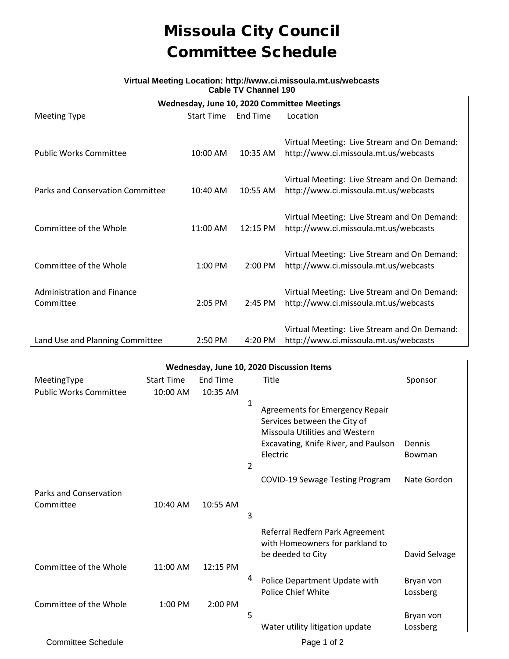## Missoula City Council Committee Schedule

## **Virtual Meeting Location: http://www.ci.missoula.mt.us/webcasts Cable TV Channel 190**

| Wednesday, June 10, 2020 Committee Meetings |                   |                   |                                                                                      |  |  |  |  |  |  |  |
|---------------------------------------------|-------------------|-------------------|--------------------------------------------------------------------------------------|--|--|--|--|--|--|--|
| <b>Meeting Type</b>                         | <b>Start Time</b> | End Time          | Location                                                                             |  |  |  |  |  |  |  |
|                                             |                   |                   |                                                                                      |  |  |  |  |  |  |  |
|                                             |                   |                   | Virtual Meeting: Live Stream and On Demand:                                          |  |  |  |  |  |  |  |
| <b>Public Works Committee</b>               | 10:00 AM          | $10:35$ AM        | http://www.ci.missoula.mt.us/webcasts                                                |  |  |  |  |  |  |  |
|                                             |                   |                   |                                                                                      |  |  |  |  |  |  |  |
|                                             |                   |                   | Virtual Meeting: Live Stream and On Demand:                                          |  |  |  |  |  |  |  |
| Parks and Conservation Committee            | 10:40 AM          | 10:55 AM          | http://www.ci.missoula.mt.us/webcasts                                                |  |  |  |  |  |  |  |
|                                             |                   |                   |                                                                                      |  |  |  |  |  |  |  |
|                                             |                   |                   | Virtual Meeting: Live Stream and On Demand:                                          |  |  |  |  |  |  |  |
| Committee of the Whole                      | 11:00 AM          | 12:15 PM          | http://www.ci.missoula.mt.us/webcasts                                                |  |  |  |  |  |  |  |
|                                             |                   |                   |                                                                                      |  |  |  |  |  |  |  |
| Committee of the Whole                      | $1:00$ PM         | $2:00 \text{ PM}$ | Virtual Meeting: Live Stream and On Demand:<br>http://www.ci.missoula.mt.us/webcasts |  |  |  |  |  |  |  |
|                                             |                   |                   |                                                                                      |  |  |  |  |  |  |  |
| Administration and Finance                  |                   |                   | Virtual Meeting: Live Stream and On Demand:                                          |  |  |  |  |  |  |  |
| Committee                                   | $2:05$ PM         | $2:45$ PM         | http://www.ci.missoula.mt.us/webcasts                                                |  |  |  |  |  |  |  |
|                                             |                   |                   |                                                                                      |  |  |  |  |  |  |  |
|                                             |                   |                   | Virtual Meeting: Live Stream and On Demand:                                          |  |  |  |  |  |  |  |
| Land Use and Planning Committee             | $2:50$ PM         | 4:20 PM           | http://www.ci.missoula.mt.us/webcasts                                                |  |  |  |  |  |  |  |

| Wednesday, June 10, 2020 Discussion Items |                   |                 |                                                                                                                                                                                                         |  |  |  |  |  |  |  |
|-------------------------------------------|-------------------|-----------------|---------------------------------------------------------------------------------------------------------------------------------------------------------------------------------------------------------|--|--|--|--|--|--|--|
| MeetingType                               | <b>Start Time</b> | <b>End Time</b> | Title<br>Sponsor                                                                                                                                                                                        |  |  |  |  |  |  |  |
| <b>Public Works Committee</b>             | 10:00 AM          | 10:35 AM        |                                                                                                                                                                                                         |  |  |  |  |  |  |  |
|                                           |                   |                 | $\mathbf{1}$<br><b>Agreements for Emergency Repair</b><br>Services between the City of<br><b>Missoula Utilities and Western</b><br>Excavating, Knife River, and Paulson<br>Dennis<br>Electric<br>Bowman |  |  |  |  |  |  |  |
|                                           |                   |                 | 2                                                                                                                                                                                                       |  |  |  |  |  |  |  |
|                                           |                   |                 | COVID-19 Sewage Testing Program<br>Nate Gordon                                                                                                                                                          |  |  |  |  |  |  |  |
| Parks and Conservation                    |                   |                 |                                                                                                                                                                                                         |  |  |  |  |  |  |  |
| Committee                                 | 10:40 AM          | 10:55 AM        |                                                                                                                                                                                                         |  |  |  |  |  |  |  |
|                                           |                   |                 | 3                                                                                                                                                                                                       |  |  |  |  |  |  |  |
|                                           |                   |                 | Referral Redfern Park Agreement<br>with Homeowners for parkland to                                                                                                                                      |  |  |  |  |  |  |  |
|                                           |                   |                 | be deeded to City<br>David Selvage                                                                                                                                                                      |  |  |  |  |  |  |  |
| Committee of the Whole                    | 11:00 AM          | 12:15 PM        | 4                                                                                                                                                                                                       |  |  |  |  |  |  |  |
|                                           |                   |                 | Police Department Update with<br>Bryan von<br>Police Chief White                                                                                                                                        |  |  |  |  |  |  |  |
| Committee of the Whole                    | 1:00 PM           | 2:00 PM         | Lossberg                                                                                                                                                                                                |  |  |  |  |  |  |  |
|                                           |                   |                 | 5<br>Bryan von                                                                                                                                                                                          |  |  |  |  |  |  |  |
|                                           |                   |                 | Water utility litigation update<br>Lossberg                                                                                                                                                             |  |  |  |  |  |  |  |
| <b>Committee Schedule</b>                 |                   |                 | Page 1 of 2                                                                                                                                                                                             |  |  |  |  |  |  |  |